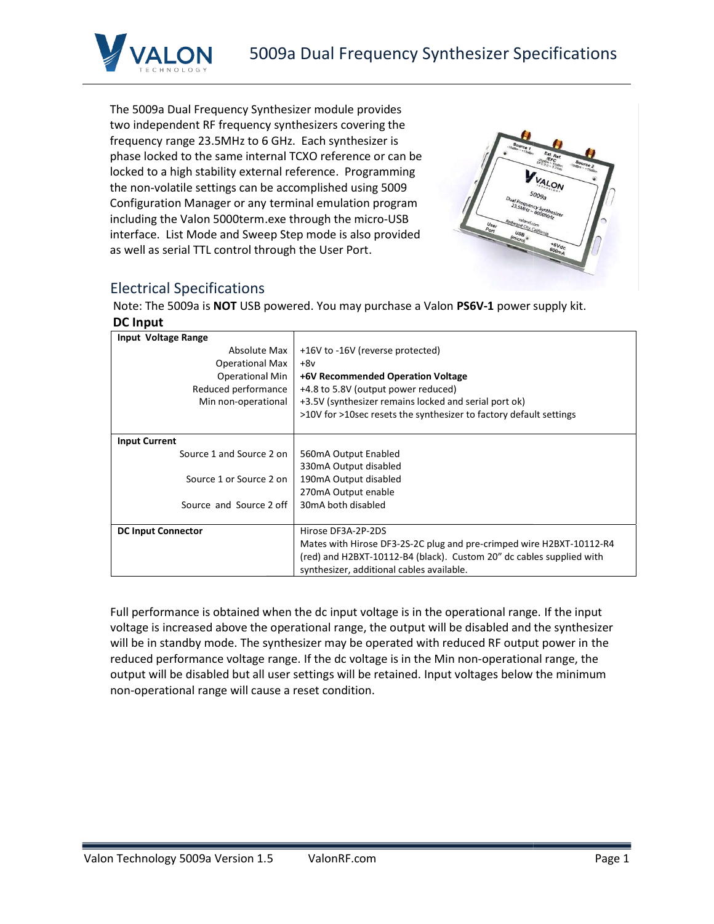



## Electrical Specifications

| The 5009a Dual Frequency Synthesizer module provides<br>two independent RF frequency synthesizers covering the<br>frequency range 23.5MHz to 6 GHz. Each synthesizer is<br>phase locked to the same internal TCXO reference or can be<br>locked to a high stability external reference. Programming<br><b>ALON</b><br>the non-volatile settings can be accomplished using 5009<br>Configuration Manager or any terminal emulation program<br>including the Valon 5000term.exe through the micro-USB<br>interface. List Mode and Sweep Step mode is also provided<br>*6Vdc<br>as well as serial TTL control through the User Port.<br>600 <sub>ma</sub> |                                                                                                                                                                                                                                                                                                                                                                                                                                                                                                            |  |  |  |  |
|--------------------------------------------------------------------------------------------------------------------------------------------------------------------------------------------------------------------------------------------------------------------------------------------------------------------------------------------------------------------------------------------------------------------------------------------------------------------------------------------------------------------------------------------------------------------------------------------------------------------------------------------------------|------------------------------------------------------------------------------------------------------------------------------------------------------------------------------------------------------------------------------------------------------------------------------------------------------------------------------------------------------------------------------------------------------------------------------------------------------------------------------------------------------------|--|--|--|--|
| <b>Electrical Specifications</b>                                                                                                                                                                                                                                                                                                                                                                                                                                                                                                                                                                                                                       |                                                                                                                                                                                                                                                                                                                                                                                                                                                                                                            |  |  |  |  |
|                                                                                                                                                                                                                                                                                                                                                                                                                                                                                                                                                                                                                                                        | Note: The 5009a is NOT USB powered. You may purchase a Valon PS6V-1 power supply kit.                                                                                                                                                                                                                                                                                                                                                                                                                      |  |  |  |  |
| <b>DC Input</b>                                                                                                                                                                                                                                                                                                                                                                                                                                                                                                                                                                                                                                        |                                                                                                                                                                                                                                                                                                                                                                                                                                                                                                            |  |  |  |  |
| Input Voltage Range<br>Absolute Max<br><b>Operational Max</b><br><b>Operational Min</b><br>Reduced performance<br>Min non-operational                                                                                                                                                                                                                                                                                                                                                                                                                                                                                                                  | +16V to -16V (reverse protected)<br>$+8v$<br>+6V Recommended Operation Voltage<br>+4.8 to 5.8V (output power reduced)<br>+3.5V (synthesizer remains locked and serial port ok)<br>>10V for >10sec resets the synthesizer to factory default settings                                                                                                                                                                                                                                                       |  |  |  |  |
| <b>Input Current</b>                                                                                                                                                                                                                                                                                                                                                                                                                                                                                                                                                                                                                                   |                                                                                                                                                                                                                                                                                                                                                                                                                                                                                                            |  |  |  |  |
| Source 1 and Source 2 on<br>Source 1 or Source 2 on<br>Source and Source 2 off                                                                                                                                                                                                                                                                                                                                                                                                                                                                                                                                                                         | 560mA Output Enabled<br>330mA Output disabled<br>190mA Output disabled<br>270mA Output enable<br>30mA both disabled                                                                                                                                                                                                                                                                                                                                                                                        |  |  |  |  |
| Hirose DF3A-2P-2DS<br><b>DC Input Connector</b><br>Mates with Hirose DF3-2S-2C plug and pre-crimped wire H2BXT-10112-R4<br>(red) and H2BXT-10112-B4 (black). Custom 20" dc cables supplied with<br>synthesizer, additional cables available.                                                                                                                                                                                                                                                                                                                                                                                                           |                                                                                                                                                                                                                                                                                                                                                                                                                                                                                                            |  |  |  |  |
| non-operational range will cause a reset condition.                                                                                                                                                                                                                                                                                                                                                                                                                                                                                                                                                                                                    | Full performance is obtained when the dc input voltage is in the operational range. If the input<br>voltage is increased above the operational range, the output will be disabled and the synthesizer<br>will be in standby mode. The synthesizer may be operated with reduced RF output power in the<br>reduced performance voltage range. If the dc voltage is in the Min non-operational range, the<br>output will be disabled but all user settings will be retained. Input voltages below the minimum |  |  |  |  |

#### Valon Technology 5009a Version 1. ValonRF.com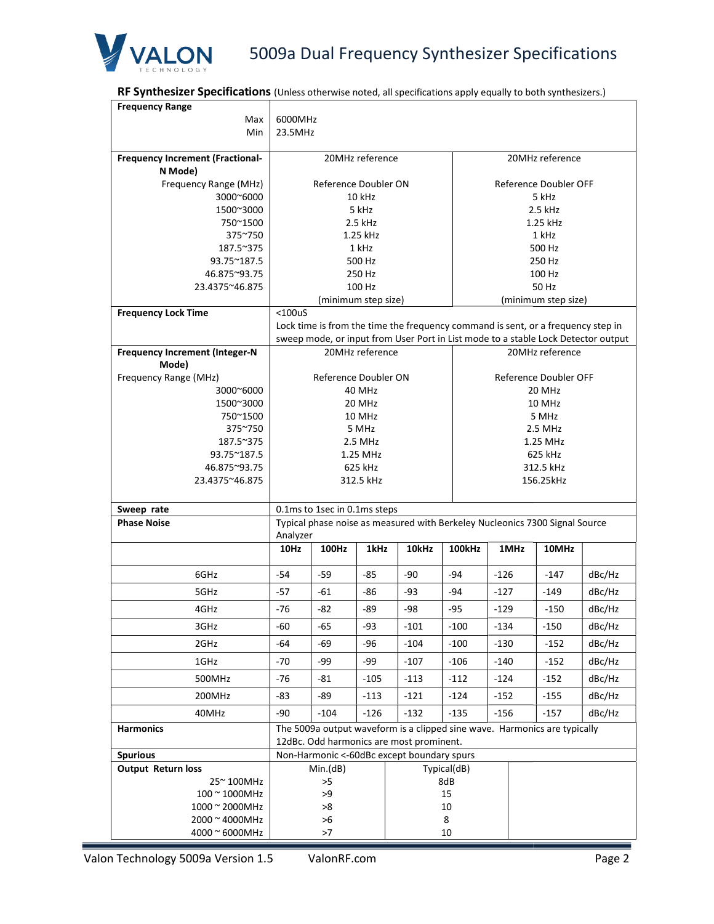

# 5009a Dual Frequency Synthesizer Specifications

RF Synthesizer Specifications (Unless otherwise noted, all specifications apply equally to both synthesizers.)

| <b>RF Synthesizer Specifications</b> (Unless otherwise noted, all specifications apply equally to both synthesizers.) |                                                                                                                       |                      |                  |                                                                                   |             |        |  |                       |        |
|-----------------------------------------------------------------------------------------------------------------------|-----------------------------------------------------------------------------------------------------------------------|----------------------|------------------|-----------------------------------------------------------------------------------|-------------|--------|--|-----------------------|--------|
| <b>Frequency Range</b>                                                                                                |                                                                                                                       |                      |                  |                                                                                   |             |        |  |                       |        |
| Max                                                                                                                   | 6000MHz                                                                                                               |                      |                  |                                                                                   |             |        |  |                       |        |
| Min                                                                                                                   | 23.5MHz                                                                                                               |                      |                  |                                                                                   |             |        |  |                       |        |
| <b>Frequency Increment (Fractional-</b>                                                                               |                                                                                                                       | 20MHz reference      |                  |                                                                                   |             |        |  | 20MHz reference       |        |
| N Mode)                                                                                                               |                                                                                                                       |                      |                  |                                                                                   |             |        |  |                       |        |
| Frequency Range (MHz)                                                                                                 |                                                                                                                       | Reference Doubler ON |                  |                                                                                   |             |        |  | Reference Doubler OFF |        |
| 3000~6000                                                                                                             |                                                                                                                       |                      | 10 kHz           |                                                                                   |             |        |  | 5 kHz                 |        |
| 1500~3000                                                                                                             |                                                                                                                       |                      | 5 kHz            |                                                                                   |             |        |  | 2.5 kHz               |        |
| 750~1500                                                                                                              |                                                                                                                       |                      | 2.5 kHz          |                                                                                   |             |        |  | 1.25 kHz              |        |
| 375~750                                                                                                               |                                                                                                                       |                      | 1.25 kHz         |                                                                                   |             |        |  | 1 kHz                 |        |
| 187.5~375                                                                                                             |                                                                                                                       |                      | 1 kHz            |                                                                                   |             |        |  | 500 Hz                |        |
| 93.75~187.5<br>46.875~93.75                                                                                           |                                                                                                                       |                      | 500 Hz<br>250 Hz |                                                                                   |             |        |  | 250 Hz<br>100 Hz      |        |
| 23.4375~46.875                                                                                                        |                                                                                                                       |                      | 100 Hz           |                                                                                   |             |        |  | 50 Hz                 |        |
|                                                                                                                       |                                                                                                                       | (minimum step size)  |                  |                                                                                   |             |        |  | (minimum step size)   |        |
| <b>Frequency Lock Time</b>                                                                                            | $<$ 100 $u$ S                                                                                                         |                      |                  |                                                                                   |             |        |  |                       |        |
|                                                                                                                       |                                                                                                                       |                      |                  | Lock time is from the time the frequency command is sent, or a frequency step in  |             |        |  |                       |        |
|                                                                                                                       |                                                                                                                       |                      |                  | sweep mode, or input from User Port in List mode to a stable Lock Detector output |             |        |  |                       |        |
| <b>Frequency Increment (Integer-N</b>                                                                                 |                                                                                                                       | 20MHz reference      |                  |                                                                                   |             |        |  | 20MHz reference       |        |
| Mode)                                                                                                                 |                                                                                                                       |                      |                  |                                                                                   |             |        |  |                       |        |
| Frequency Range (MHz)                                                                                                 |                                                                                                                       | Reference Doubler ON |                  |                                                                                   |             |        |  | Reference Doubler OFF |        |
| 3000~6000                                                                                                             | 40 MHz<br>20 MHz                                                                                                      |                      |                  |                                                                                   |             |        |  |                       |        |
| 1500~3000<br>750~1500                                                                                                 | 20 MHz<br>10 MHz                                                                                                      |                      |                  |                                                                                   |             |        |  |                       |        |
| 375~750                                                                                                               | 10 MHz<br>5 MHz<br>5 MHz<br>2.5 MHz                                                                                   |                      |                  |                                                                                   |             |        |  |                       |        |
| 187.5~375                                                                                                             | 2.5 MHz<br>1.25 MHz                                                                                                   |                      |                  |                                                                                   |             |        |  |                       |        |
| 93.75~187.5                                                                                                           | 625 kHz<br>1.25 MHz                                                                                                   |                      |                  |                                                                                   |             |        |  |                       |        |
| 46.875~93.75                                                                                                          | 625 kHz                                                                                                               |                      |                  |                                                                                   | 312.5 kHz   |        |  |                       |        |
| 23.4375~46.875                                                                                                        | 312.5 kHz                                                                                                             |                      |                  |                                                                                   | 156.25kHz   |        |  |                       |        |
|                                                                                                                       |                                                                                                                       |                      |                  |                                                                                   |             |        |  |                       |        |
| Sweep rate                                                                                                            | 0.1ms to 1sec in 0.1ms steps                                                                                          |                      |                  |                                                                                   |             |        |  |                       |        |
| <b>Phase Noise</b>                                                                                                    | Typical phase noise as measured with Berkeley Nucleonics 7300 Signal Source                                           |                      |                  |                                                                                   |             |        |  |                       |        |
|                                                                                                                       | Analyzer<br>100Hz<br>1kHz<br>10Hz                                                                                     |                      |                  | 10kHz                                                                             | 100kHz      | 1MHz   |  | 10MHz                 |        |
|                                                                                                                       |                                                                                                                       |                      |                  |                                                                                   |             |        |  |                       |        |
| 6GHz                                                                                                                  | $-54$                                                                                                                 | -59                  | -85              | $-90$                                                                             | -94         | $-126$ |  | $-147$                | dBc/Hz |
| 5GHz                                                                                                                  | $-57$                                                                                                                 | $-61$                | $-86$            | $-93$                                                                             | $-94$       | $-127$ |  | $-149$                | dBc/Hz |
| 4GHz                                                                                                                  | $-76$                                                                                                                 | $-82$                | -89              | -98                                                                               | $-95$       | $-129$ |  | $-150$                | dBc/Hz |
| 3GHz                                                                                                                  | -60                                                                                                                   | $-65$                | $-93$            | $-101$                                                                            | $-100$      | $-134$ |  | $-150$                | dBc/Hz |
| 2GHz                                                                                                                  | -64                                                                                                                   | -69                  | -96              | $-104$                                                                            | $-100$      | $-130$ |  | $-152$                | dBc/Hz |
| 1GHz                                                                                                                  | -70                                                                                                                   | -99                  | -99              | $-107$                                                                            | $-106$      | $-140$ |  | $-152$                | dBc/Hz |
| 500MHz                                                                                                                | $-76$                                                                                                                 | $-81$                | $-105$           | $-113$                                                                            | $-112$      | $-124$ |  | $-152$                | dBc/Hz |
| 200MHz                                                                                                                | $-83$                                                                                                                 | $-89$                | $-113$           | $-121$                                                                            | $-124$      | $-152$ |  | $-155$                | dBc/Hz |
| 40MHz                                                                                                                 | -90                                                                                                                   | $-104$               | $-126$           | $-132$                                                                            | $-135$      | $-156$ |  | $-157$                | dBc/Hz |
| <b>Harmonics</b>                                                                                                      | The 5009a output waveform is a clipped sine wave. Harmonics are typically<br>12dBc. Odd harmonics are most prominent. |                      |                  |                                                                                   |             |        |  |                       |        |
| <b>Spurious</b>                                                                                                       |                                                                                                                       |                      |                  | Non-Harmonic <- 60dBc except boundary spurs                                       |             |        |  |                       |        |
| <b>Output Return loss</b>                                                                                             |                                                                                                                       | Min.(dB)             |                  |                                                                                   | Typical(dB) |        |  |                       |        |
| 25~100MHz                                                                                                             |                                                                                                                       | >5                   |                  |                                                                                   | 8dB         |        |  |                       |        |
| 100 ~ 1000MHz                                                                                                         | >9                                                                                                                    |                      |                  | 15                                                                                |             |        |  |                       |        |
|                                                                                                                       |                                                                                                                       |                      |                  |                                                                                   |             |        |  |                       |        |
| 1000 ~ 2000MHz<br>$2000 \approx 4000$ MHz                                                                             |                                                                                                                       | >8<br>>6             |                  |                                                                                   | 10<br>8     |        |  |                       |        |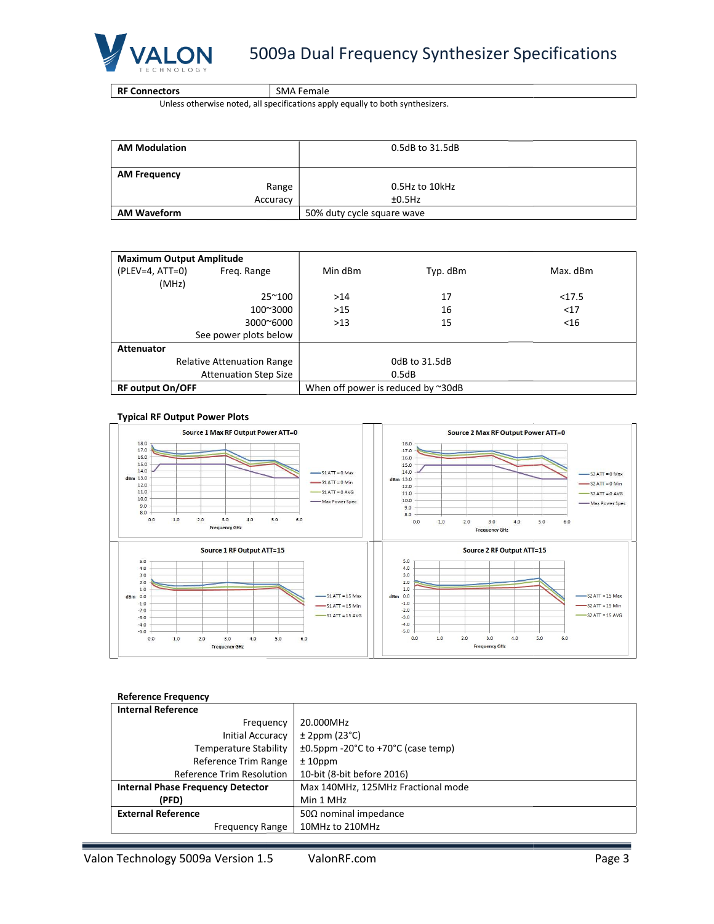

RF Connectors

SMA Female

Unless otherwise noted, all specifications apply equally to both synthesizers.

| <b>AM Modulation</b> | 0.5dB to 31.5dB            |
|----------------------|----------------------------|
| <b>AM Frequency</b>  |                            |
| Range                | 0.5Hz to 10kHz             |
| Accuracy             | ±0.5Hz                     |
| <b>AM Waveform</b>   | 50% duty cycle square wave |

| <b>Maximum Output Amplitude</b> |                                   |         |                                           |          |
|---------------------------------|-----------------------------------|---------|-------------------------------------------|----------|
| $(PLEV=4, ATT=0)$               | Freq. Range                       | Min dBm | Typ. dBm                                  | Max. dBm |
| (MHz)                           |                                   |         |                                           |          |
|                                 | $25^{\sim}100$                    | >14     | 17                                        | <17.5    |
|                                 | 100~3000                          | >15     | 16                                        | <17      |
|                                 | $3000^{\circ}6000$                | >13     | 15                                        | $<$ 16   |
|                                 | See power plots below             |         |                                           |          |
| <b>Attenuator</b>               |                                   |         |                                           |          |
|                                 | <b>Relative Attenuation Range</b> |         | 0dB to 31.5dB                             |          |
|                                 | <b>Attenuation Step Size</b>      |         | 0.5dB                                     |          |
| <b>RF output On/OFF</b>         |                                   |         | When off power is reduced by $\sim 30$ dB |          |

#### Typical RF Output Power Plots



#### Reference Frequency

| <b>Internal Reference</b>                |                                                              |
|------------------------------------------|--------------------------------------------------------------|
| Frequency                                | 20.000MHz                                                    |
| Initial Accuracy                         | $± 2$ ppm (23 $°C$ )                                         |
| Temperature Stability                    | $\pm 0.5$ ppm -20 $\degree$ C to +70 $\degree$ C (case temp) |
| Reference Trim Range                     | $± 10$ ppm                                                   |
| <b>Reference Trim Resolution</b>         | 10-bit (8-bit before 2016)                                   |
| <b>Internal Phase Frequency Detector</b> | Max 140MHz, 125MHz Fractional mode                           |
| (PFD)                                    | Min 1 MHz                                                    |
| <b>External Reference</b>                | $50\Omega$ nominal impedance                                 |
| <b>Frequency Range</b>                   | 10MHz to 210MHz                                              |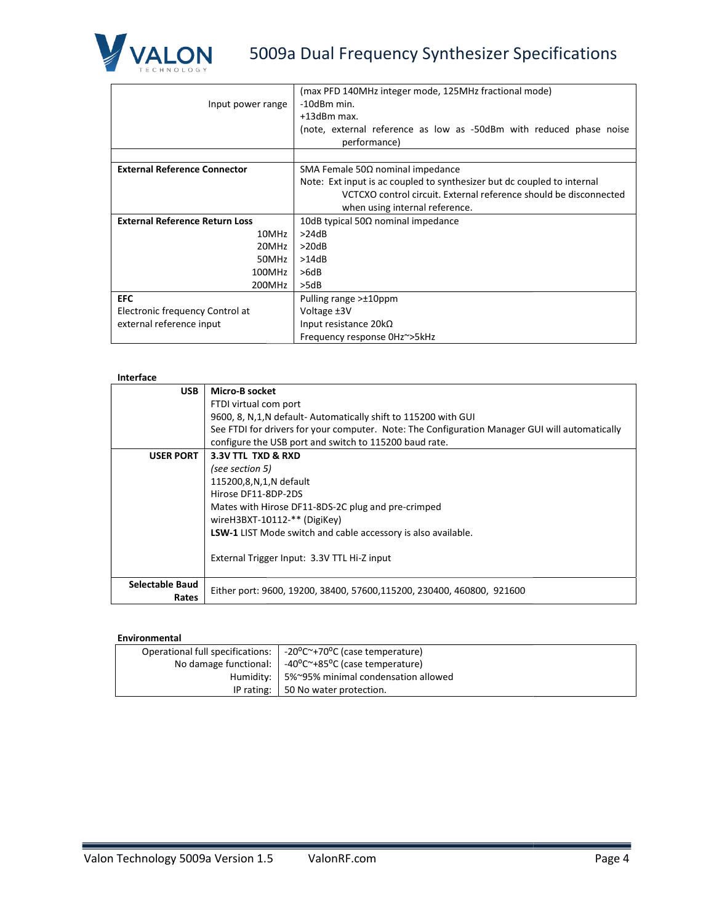

**VALON** 5009a Dual Frequency Synthesizer Specifications

|                                       |                                                                                                | (max PFD 140MHz integer mode, 125MHz fractional mode)                   |  |  |  |
|---------------------------------------|------------------------------------------------------------------------------------------------|-------------------------------------------------------------------------|--|--|--|
| Input power range                     |                                                                                                | $-10$ dBm min.                                                          |  |  |  |
|                                       |                                                                                                | +13dBm max.                                                             |  |  |  |
|                                       |                                                                                                | (note, external reference as low as -50dBm with reduced phase noise     |  |  |  |
|                                       |                                                                                                | performance)                                                            |  |  |  |
|                                       |                                                                                                |                                                                         |  |  |  |
| <b>External Reference Connector</b>   |                                                                                                | SMA Female 50Ω nominal impedance                                        |  |  |  |
|                                       |                                                                                                | Note: Ext input is ac coupled to synthesizer but dc coupled to internal |  |  |  |
|                                       |                                                                                                | VCTCXO control circuit. External reference should be disconnected       |  |  |  |
|                                       |                                                                                                | when using internal reference.                                          |  |  |  |
| <b>External Reference Return Loss</b> |                                                                                                | 10dB typical 50 $\Omega$ nominal impedance                              |  |  |  |
|                                       | 10MHz                                                                                          | >24dB                                                                   |  |  |  |
|                                       | 20MHz                                                                                          | >20dB                                                                   |  |  |  |
| 50MHz                                 |                                                                                                | >14dB                                                                   |  |  |  |
| 100MHz                                |                                                                                                | >6dB                                                                    |  |  |  |
| 200MHz                                |                                                                                                | >5dB                                                                    |  |  |  |
| <b>EFC</b>                            |                                                                                                | Pulling range >±10ppm                                                   |  |  |  |
| Electronic frequency Control at       |                                                                                                | Voltage ±3V                                                             |  |  |  |
| external reference input              |                                                                                                | Input resistance $20k\Omega$                                            |  |  |  |
|                                       |                                                                                                | Frequency response OHz~>5kHz                                            |  |  |  |
|                                       |                                                                                                |                                                                         |  |  |  |
|                                       |                                                                                                |                                                                         |  |  |  |
| Interface                             |                                                                                                |                                                                         |  |  |  |
| <b>USB</b>                            | <b>Micro-B socket</b>                                                                          |                                                                         |  |  |  |
|                                       | FTDI virtual com port                                                                          |                                                                         |  |  |  |
|                                       | 9600, 8, N,1, N default - Automatically shift to 115200 with GUI                               |                                                                         |  |  |  |
|                                       | See FTDI for drivers for your computer. Note: The Configuration Manager GUI will automatically |                                                                         |  |  |  |

#### Interface

| <b>USB</b>               | Micro-B socket                                                                                 |
|--------------------------|------------------------------------------------------------------------------------------------|
|                          | FTDI virtual com port                                                                          |
|                          | 9600, 8, N,1, N default-Automatically shift to 115200 with GUI                                 |
|                          | See FTDI for drivers for your computer. Note: The Configuration Manager GUI will automatically |
|                          | configure the USB port and switch to 115200 baud rate.                                         |
| <b>USER PORT</b>         | 3.3V TTL TXD & RXD                                                                             |
|                          | (see section 5)                                                                                |
|                          | 115200,8,N,1,N default                                                                         |
|                          | Hirose DF11-8DP-2DS                                                                            |
|                          | Mates with Hirose DF11-8DS-2C plug and pre-crimped                                             |
|                          | wireH3BXT-10112-** (DigiKey)                                                                   |
|                          | <b>LSW-1</b> LIST Mode switch and cable accessory is also available.                           |
|                          | External Trigger Input: 3.3V TTL Hi-Z input                                                    |
| Selectable Baud<br>Rates | Either port: 9600, 19200, 38400, 57600, 115200, 230400, 460800, 921600                         |

#### Environmental

| Operational full specifications: $\vert$ -20 $\degree$ C $\degree$ +70 $\degree$ C (case temperature) |
|-------------------------------------------------------------------------------------------------------|
| No damage functional: $\vert$ -40°C $\sim$ +85°C (case temperature)                                   |
| Humidity:   5%~95% minimal condensation allowed                                                       |
| IP rating: 50 No water protection.                                                                    |